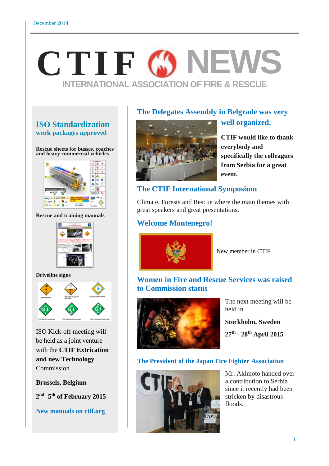# **CTIF 69 NEW INTERNATIONAL ASSOCIATION OF FIRE & RESCUE**

## **ISO Standardization work packages approved**

**Rescue sheets for busses, coaches and heavy commercial vehicles**



**Rescue and training manuals**



**Driveline signs**



ISO Kick-off meeting will be held as a joint venture with the **CTIF Extrication and new Technology** Commission

**Brussels, Belgium**

**2 nd -5 th of February 2015**

**New manuals on ctif.org**

## **The Delegates Assembly in Belgrade was very**



# **CTIF would like to thank everybody and specifically the colleagues from Serbia for a great event.**

**well organized.**

# **The CTIF International Symposium**

Climate, Forests and Rescue where the main themes with great speakers and great presentations.

# **Welcome Montenegro!**



New member in CTIF

# **Women in Fire and Rescue Services was raised to Commission status**



The next meeting will be held in

**Stockholm, Sweden**

**27th - 28th April 2015**

#### **The President of the Japan Fire Fighter Association**



Mr. Akimoto handed over a contribution to Serbia since it recently had been stricken by disastrous floods.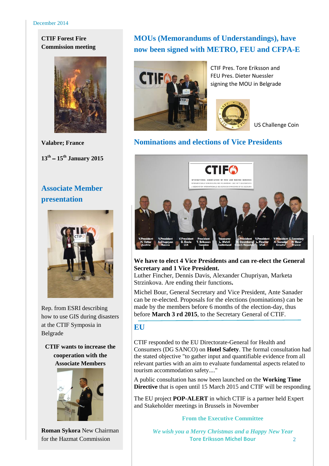#### **CTIF Forest Fire Commission meeting**



**Valabre; France 13th** – **15th January 2015**

# **Associate Member presentation**



Rep. from ESRI describing how to use GIS during disasters at the CTIF Symposia in Belgrade

**CTIF wants to increase the cooperation with the Associate Members**



**Roman Sykora** New Chairman for the Hazmat Commission

# **MOUs (Memorandums of Understandings), have now been signed with METRO, FEU and CFPA-E**



CTIF Pres. Tore Eriksson and FEU Pres. Dieter Nuessler signing the MOU in Belgrade



US Challenge Coin

## **Nominations and elections of Vice Presidents**



#### **We have to elect 4 Vice Presidents and can re-elect the General Secretary and 1 Vice President.**

Luther Fincher, Dennis Davis, Alexander Chupriyan, Marketa Strzinkova. Are ending their functions**.**

Michel Bour, General Secretary and Vice President, Ante Sanader can be re-elected. Proposals for the elections (nominations) can be made by the members before 6 months of the election-day, thus before **March 3 rd 2015**, to the Secretary General of CTIF.

#### **EU**

CTIF responded to the EU Directorate-General for Health and Consumers (DG SANCO) on **Hotel Safety**. The formal consultation had the stated objective "to gather input and quantifiable evidence from all relevant parties with an aim to evaluate fundamental aspects related to tourism accommodation safety...."

A public consultation has now been launched on the **Working Time Directive** that is open until 15 March 2015 and CTIF will be responding

The EU project **POP-ALERT** in which CTIF is a partner held Expert and Stakeholder meetings in Brussels in November

#### **From the Executive Committee**

*We wish you a Merry Christmas and a Happy New Year* **Tore Eriksson Michel Bour**